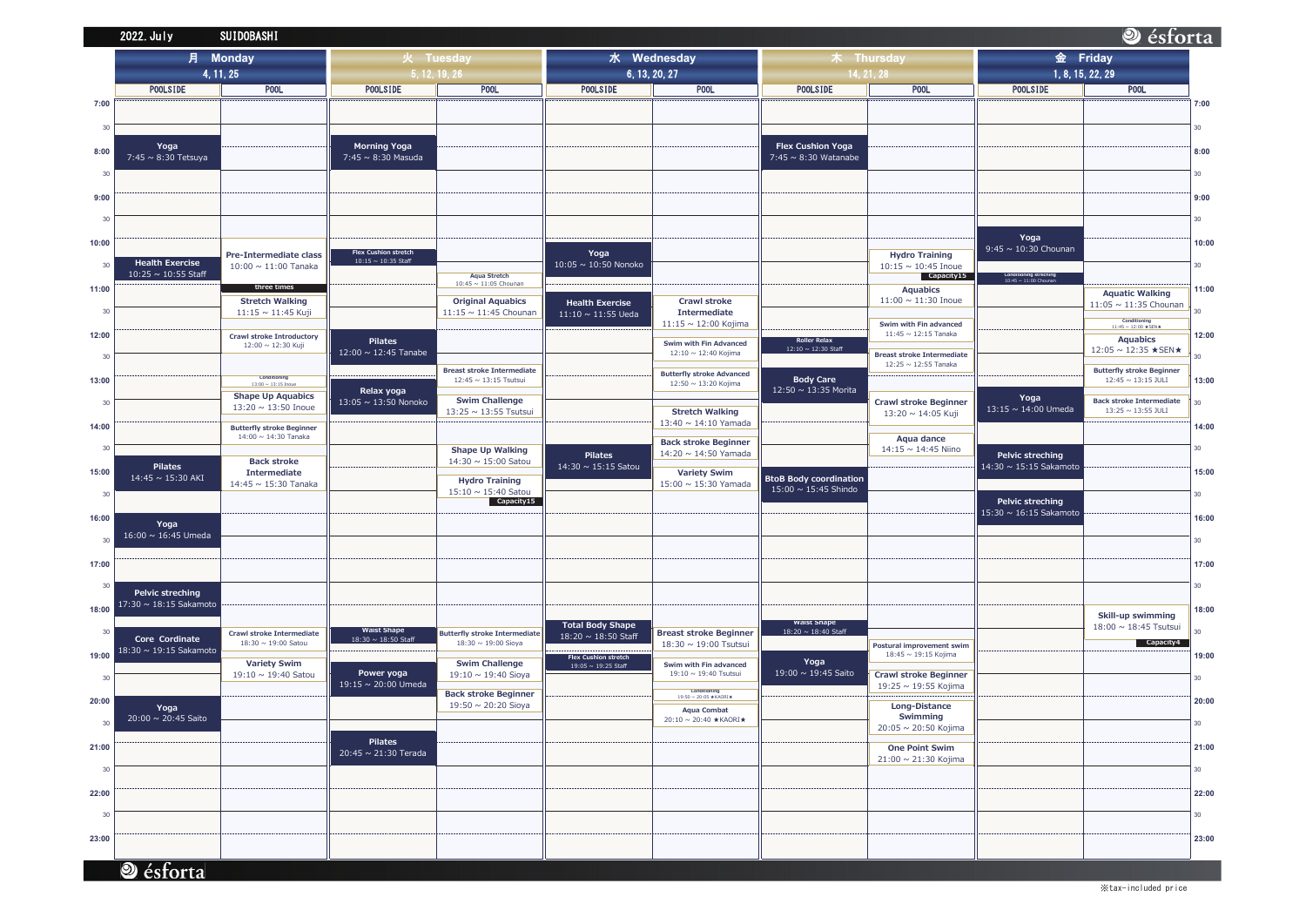|       | 2022. July                                 | <b>SUIDOBASHI</b>                                        |                                                         |                                                            |                                                   |                                                          |                                            |                                                           |  |
|-------|--------------------------------------------|----------------------------------------------------------|---------------------------------------------------------|------------------------------------------------------------|---------------------------------------------------|----------------------------------------------------------|--------------------------------------------|-----------------------------------------------------------|--|
|       | <b>Monday</b><br>月                         |                                                          | 火 Tuesday                                               |                                                            | 水 Wednesday                                       |                                                          | 木 Thursday                                 |                                                           |  |
|       | 4, 11, 25                                  |                                                          | 5, 12, 19, 26                                           |                                                            | 6, 13, 20, 27                                     |                                                          | 14, 21, 28                                 |                                                           |  |
|       | <b>POOLSIDE</b>                            | <b>POOL</b>                                              | <b>POOLSIDE</b>                                         | POOL                                                       | <b>POOLSIDE</b>                                   | <b>POOL</b>                                              | <b>POOLSIDE</b>                            | P <sub>00</sub> L                                         |  |
| 7:00  |                                            |                                                          |                                                         |                                                            |                                                   |                                                          |                                            |                                                           |  |
| 30    |                                            |                                                          |                                                         |                                                            |                                                   |                                                          |                                            |                                                           |  |
|       | Yoga                                       |                                                          | <b>Morning Yoga</b>                                     |                                                            |                                                   |                                                          | <b>Flex Cushion Yoga</b>                   |                                                           |  |
| 8:00  | 7:45 ~ 8:30 Tetsuya                        |                                                          | $7:45 \sim 8:30$ Masuda                                 |                                                            |                                                   |                                                          | 7:45 $\sim$ 8:30 Watanabe                  |                                                           |  |
| 30    |                                            |                                                          |                                                         |                                                            |                                                   |                                                          |                                            |                                                           |  |
| 9:00  |                                            |                                                          |                                                         |                                                            |                                                   |                                                          |                                            |                                                           |  |
|       |                                            |                                                          |                                                         |                                                            |                                                   |                                                          |                                            |                                                           |  |
| 30    |                                            |                                                          |                                                         |                                                            |                                                   |                                                          |                                            |                                                           |  |
| 10:00 |                                            |                                                          |                                                         |                                                            |                                                   |                                                          |                                            |                                                           |  |
| 30    | <b>Health Exercise</b>                     | Pre-Intermediate class<br>$10:00 \sim 11:00$ Tanaka      | <b>Flex Cushion stretch</b><br>$10:15 \sim 10:35$ Staff |                                                            | Yoga<br>10:05 ~ 10:50 Nonoko                      |                                                          |                                            | <b>Hydro Training</b><br>$10:15 \sim 10:45$ Inoue         |  |
|       | $10:25 \sim 10:55$ Staff                   |                                                          |                                                         | <b>Aqua Stretch</b><br>10:45 ~ 11:05 Chounan               |                                                   |                                                          |                                            | Capacity15                                                |  |
| 11:00 |                                            | three times<br><b>Stretch Walking</b>                    |                                                         | <b>Original Aquabics</b>                                   |                                                   | <b>Crawl stroke</b>                                      |                                            | <b>Aquabics</b><br>$11:00 \sim 11:30$ Inoue               |  |
| 30    |                                            | 11:15 ~ 11:45 Kuji                                       |                                                         | 11:15 $\sim$ 11:45 Chounan                                 | <b>Health Exercise</b><br>$11:10 \sim 11:55$ Ueda | Intermediate                                             |                                            |                                                           |  |
| 12:00 |                                            |                                                          |                                                         |                                                            |                                                   | 11:15 ~ 12:00 Kojima                                     |                                            | Swim with Fin advanced<br>$11:45 \sim 12:15$ Tanaka       |  |
|       |                                            | <b>Crawl stroke Introductory</b><br>12:00 ~ 12:30 Kuji   | <b>Pilates</b><br>$12:00 \sim 12:45$ Tanabe             |                                                            |                                                   | Swim with Fin Advanced                                   | <b>Roller Relax</b><br>12:10 ~ 12:30 Staff |                                                           |  |
| 30    |                                            |                                                          |                                                         |                                                            |                                                   | 12:10 ~ 12:40 Kojima                                     |                                            | <b>Breast stroke Intermediate</b><br>12:25 ~ 12:55 Tanaka |  |
| 13:00 |                                            | Conditioning<br>$13:00 \sim 13:15$ Inoue                 |                                                         | <b>Breast stroke Intermediate</b><br>12:45 ~ 13:15 Tsutsui |                                                   | <b>Butterfly stroke Advanced</b><br>12:50 ~ 13:20 Kojima | <b>Body Care</b>                           |                                                           |  |
| 30    |                                            | <b>Shape Up Aquabics</b>                                 | Relax yoga<br>13:05 ~ 13:50 Nonoko                      | <b>Swim Challenge</b>                                      |                                                   |                                                          | 12:50 ~ 13:35 Morita                       | <b>Crawl stroke Beginner</b>                              |  |
|       |                                            | 13:20 ~ 13:50 Inoue                                      |                                                         | 13:25 ~ 13:55 Tsutsui                                      |                                                   | <b>Stretch Walking</b>                                   |                                            | 13:20 ~ 14:05 Kuji                                        |  |
| 14:00 |                                            | <b>Butterfly stroke Beginner</b><br>14:00 ~ 14:30 Tanaka |                                                         |                                                            |                                                   | 13:40 $\sim$ 14:10 Yamada                                |                                            |                                                           |  |
| 30    |                                            |                                                          |                                                         | <b>Shape Up Walking</b>                                    |                                                   | <b>Back stroke Beginner</b><br>14:20 ~ 14:50 Yamada      |                                            | Aqua dance<br>14:15 ~ 14:45 Niino                         |  |
|       | <b>Pilates</b>                             | <b>Back stroke</b><br><b>Intermediate</b>                |                                                         | 14:30 $\sim$ 15:00 Satou                                   | <b>Pilates</b><br>14:30 ~ 15:15 Satou             |                                                          |                                            |                                                           |  |
| 15:00 | 14:45 ~ 15:30 AKI                          | 14:45 ~ 15:30 Tanaka                                     |                                                         | <b>Hydro Training</b>                                      |                                                   | <b>Variety Swim</b><br>$15:00 \sim 15:30$ Yamada         | <b>BtoB Body coordination</b>              |                                                           |  |
| 30    |                                            |                                                          |                                                         | 15:10 ~ 15:40 Satou<br>Capacity15                          |                                                   |                                                          | 15:00 ~ 15:45 Shindo                       |                                                           |  |
| 16:00 |                                            |                                                          |                                                         |                                                            |                                                   |                                                          |                                            |                                                           |  |
| 30    | Yoga<br>16:00 ~ 16:45 Umeda                |                                                          |                                                         |                                                            |                                                   |                                                          |                                            |                                                           |  |
|       |                                            |                                                          |                                                         |                                                            |                                                   |                                                          |                                            |                                                           |  |
| 17:00 |                                            |                                                          |                                                         |                                                            |                                                   |                                                          |                                            |                                                           |  |
| 30    |                                            |                                                          |                                                         |                                                            |                                                   |                                                          |                                            |                                                           |  |
|       | Pelvic streching<br>17:30 ~ 18:15 Sakamoto |                                                          |                                                         |                                                            |                                                   |                                                          |                                            |                                                           |  |
| 18:00 |                                            |                                                          |                                                         |                                                            | <b>Total Body Shape</b>                           |                                                          | <b>Waist Shape</b>                         |                                                           |  |
| 30    | Core Cordinate                             | Crawl stroke Intermediate<br>18:30 ~ 19:00 Satou         | <b>Waist Shape</b><br>18:30 ~ 18:50 Staff               | Butterfly stroke Intermediate<br>18:30 ~ 19:00 Sioya       | 18:20 ~ 18:50 Staff                               | <b>Breast stroke Beginner</b>                            | 18:20 ~ 18:40 Staff                        |                                                           |  |
| 19:00 | 18:30 ~ 19:15 Sakamoto                     |                                                          |                                                         |                                                            | Flex Cushion stretch                              | 18:30 ~ 19:00 Tsutsui                                    |                                            | Postural improvement swim<br>18:45 ~ 19:15 Kojima         |  |
| 30    |                                            | <b>Variety Swim</b><br>19:10 $\sim$ 19:40 Satou          | Power yoga                                              | <b>Swim Challenge</b><br>19:10 ~ 19:40 Sioya               | $19:05 \sim 19:25$ Staff                          | Swim with Fin advanced<br>19:10 ~ 19:40 Tsutsui          | Yoga<br>19:00 ~ 19:45 Saito                | <b>Crawl stroke Beginner</b>                              |  |
|       |                                            |                                                          | 19:15 ~ 20:00 Umeda                                     | <b>Back stroke Beginner</b>                                |                                                   | Conditioning                                             |                                            | 19:25 ~ 19:55 Kojima                                      |  |
| 20:00 | Yoga                                       |                                                          |                                                         | 19:50 ~ 20:20 Sioya                                        |                                                   | $19:50 \sim 20:05$ ★KAORI★<br><b>Aqua Combat</b>         |                                            | <b>Long-Distance</b>                                      |  |
| 30    | 20:00 ~ 20:45 Saito                        |                                                          |                                                         |                                                            |                                                   | 20:10 ~ 20:40 ★KAORI★                                    |                                            | Swimming<br>20:05 ~ 20:50 Kojima                          |  |
|       |                                            |                                                          | <b>Pilates</b>                                          |                                                            |                                                   |                                                          |                                            |                                                           |  |
| 21:00 |                                            |                                                          | 20:45 ~ 21:30 Terada                                    |                                                            |                                                   |                                                          |                                            | <b>One Point Swim</b><br>21:00 ~ 21:30 Kojima             |  |
| 30    |                                            |                                                          |                                                         |                                                            |                                                   |                                                          |                                            |                                                           |  |
| 22:00 |                                            |                                                          |                                                         |                                                            |                                                   |                                                          |                                            |                                                           |  |
|       |                                            |                                                          |                                                         |                                                            |                                                   |                                                          |                                            |                                                           |  |
| 30    |                                            |                                                          |                                                         |                                                            |                                                   |                                                          |                                            |                                                           |  |
| 23:00 |                                            |                                                          |                                                         |                                                            |                                                   |                                                          |                                            |                                                           |  |
|       |                                            |                                                          |                                                         |                                                            |                                                   |                                                          |                                            |                                                           |  |
|       | ésforta                                    |                                                          |                                                         |                                                            |                                                   |                                                          |                                            |                                                           |  |

## Sesforta 金 Friday 1, 8, 15, 22, 29 **POOLSIDE POOL**  $7:00$  $30<sup>°</sup>$  $8:00$  $30<sup>°</sup>$  $9:00$  $30$ Yoga  $10:00$ 9:45 ~  $10:30$  Chounan  $30\,$ Conditioning streching<br>10:45 ~ 11:00 Chounan  $11:00$ **Aquatic Walking**  $11:05 \sim 11:35$  Chounan  $30$ Conditioning<br>11:45 ~ 12:00  $\star$  SEN  $\star$  $12:00$ Aquabics 12:05 ~ 12:35 ★ SEN ★  $30<sup>°</sup>$ Butterfly stroke Beginner<br>12:45  $\sim$  13:15 JULI 13:00 Yoga Back stroke Intermediate<br> $13:25 \sim 13:55$  JULI  $30$  $13:15 \sim 14:00$  Umeda  $14:00$  $30\,$ Pelvic streching  $14:30 \sim 15:15$  Sakamoto 15:00  $30\,$ Pelvic streching  $15:30 \sim 16:15$  Sakamoto  $16:00$  $30<sup>°</sup>$ 17:00  $30<sup>°</sup>$  $18:00$ **Skill-up swimming**<br> $18:00 \sim 18:45$  Tsutsui  $30<sup>°</sup>$  $\overline{\phantom{a}}$  Capacity4  $19:00$  $30<sup>°</sup>$  $20:00$  $30$ 21:00  $30\,$ 22:00  $30<sub>o</sub>$ 23:00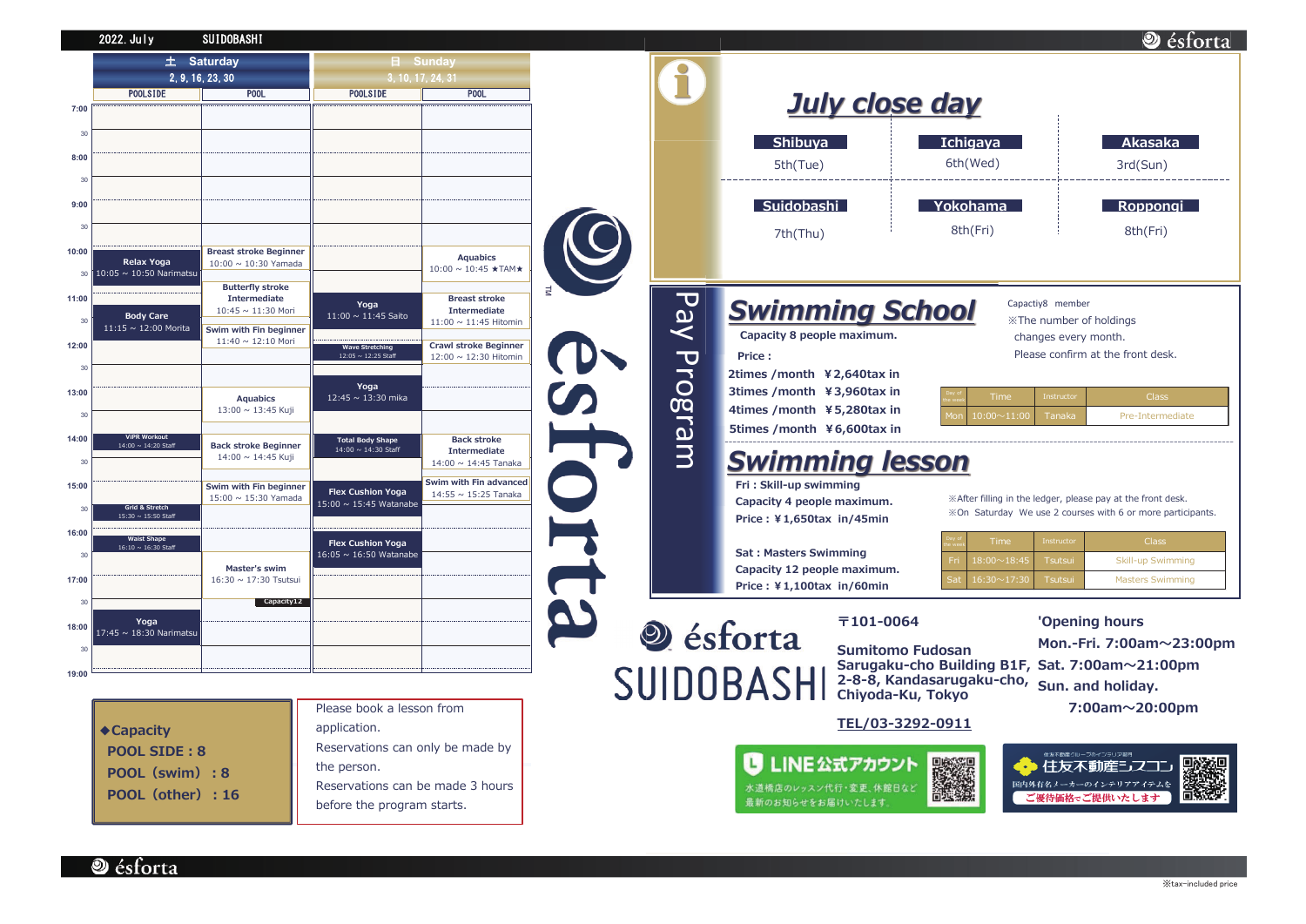|       | 2022. July                                 | SUIDOBASHI                                                 |                                                    |                                                       |          |             |
|-------|--------------------------------------------|------------------------------------------------------------|----------------------------------------------------|-------------------------------------------------------|----------|-------------|
|       | 土 Saturday<br>2, 9, 16, 23, 30             |                                                            | 3, 10, 17, 24, 31                                  | <b>日</b> Sunday                                       |          |             |
|       | <b>POOLSIDE</b>                            | <b>POOL</b>                                                | <b>POOLSIDE</b>                                    | <b>POOL</b>                                           |          |             |
| 7:00  |                                            |                                                            |                                                    |                                                       |          |             |
|       |                                            |                                                            |                                                    |                                                       |          |             |
| 30    |                                            |                                                            |                                                    |                                                       |          |             |
| 8:00  |                                            |                                                            |                                                    |                                                       |          |             |
| 30    |                                            |                                                            |                                                    |                                                       |          |             |
| 9:00  |                                            |                                                            |                                                    |                                                       |          |             |
|       |                                            |                                                            |                                                    |                                                       |          |             |
| 30    |                                            |                                                            |                                                    |                                                       |          |             |
| 10:00 | <b>Relax Yoga</b>                          | <b>Breast stroke Beginner</b><br>$10:00 \sim 10:30$ Yamada |                                                    | <b>Aquabics</b>                                       |          |             |
| 30    | 10:05 $\sim$ 10:50 Narimatsu               |                                                            |                                                    | $10:00 \sim 10:45$ ★TAM★                              |          |             |
| 11:00 |                                            | <b>Butterfly stroke</b><br><b>Intermediate</b>             |                                                    | <b>Breast stroke</b>                                  | $\equiv$ |             |
|       | <b>Body Care</b>                           | 10:45 ~ 11:30 Mori                                         | Yoga<br>11:00 ~ 11:45 Saito                        | <b>Intermediate</b>                                   |          |             |
| 30    | 11:15 ~ 12:00 Morita                       | Swim with Fin beginner                                     |                                                    | 11:00 ~ 11:45 Hitomin                                 |          |             |
| 12:00 |                                            | 11:40 ~ 12:10 Mori                                         | <b>Wave Stretching</b><br>12:05 ~ 12:25 Staff      | <b>Crawl stroke Beginner</b><br>12:00 ~ 12:30 Hitomin |          | Pay Program |
| 30    |                                            |                                                            |                                                    |                                                       |          |             |
| 13:00 |                                            |                                                            | Yoga                                               |                                                       |          |             |
|       |                                            | <b>Aquabics</b><br>13:00 ~ 13:45 Kuji                      | 12:45 ~ 13:30 mika                                 |                                                       |          |             |
| 30    |                                            |                                                            |                                                    |                                                       |          |             |
| 14:00 | <b>ViPR Workout</b><br>14:00 ~ 14:20 Staff | <b>Back stroke Beginner</b>                                | <b>Total Body Shape</b><br>14:00 ~ 14:30 Staff     | <b>Back stroke</b><br><b>Intermediate</b>             |          |             |
| 30    |                                            | 14:00 ~ 14:45 Kuji                                         |                                                    | 14:00 ~ 14:45 Tanaka                                  |          |             |
| 15:00 |                                            | Swim with Fin beginner                                     |                                                    | Swim with Fin advanced                                |          |             |
|       | Grid & Stretch                             | $15:00 \sim 15:30$ Yamada                                  | <b>Flex Cushion Yoga</b><br>15:00 ~ 15:45 Watanabe | 14:55 ~ 15:25 Tanaka                                  |          |             |
| 30    | 15:30 ~ 15:50 Staff                        |                                                            |                                                    |                                                       |          |             |
| 16:00 | <b>Waist Shape</b>                         |                                                            | <b>Flex Cushion Yoga</b>                           |                                                       |          |             |
| 30    | 16:10 ~ 16:30 Staff                        |                                                            | 16:05 ~ 16:50 Watanabe                             |                                                       |          |             |
| 17:00 |                                            | <b>Master's swim</b><br>16:30 ~ 17:30 Tsutsui              |                                                    |                                                       |          |             |
|       |                                            | Capacity12                                                 |                                                    |                                                       |          |             |
| 30    |                                            |                                                            |                                                    |                                                       |          |             |
| 18:00 | Yoga<br>17:45 ~ 18:30 Narimatsu            |                                                            |                                                    |                                                       |          | és          |
| 30    |                                            |                                                            |                                                    |                                                       |          |             |
| 19:00 |                                            |                                                            |                                                    |                                                       | C111     |             |

|                                | Please book a lesson from        |  |  |
|--------------------------------|----------------------------------|--|--|
| $\blacktriangleright$ Capacity | application.                     |  |  |
| <b>POOL SIDE: 8</b>            | Reservations can only be made by |  |  |
| POOL (swim) : 8                | the person.                      |  |  |
| POOL (other) : 16              | Reservations can be made 3 hours |  |  |
|                                | before the program starts.       |  |  |
|                                |                                  |  |  |



TEL/03-3292-0911



**D**ésforta

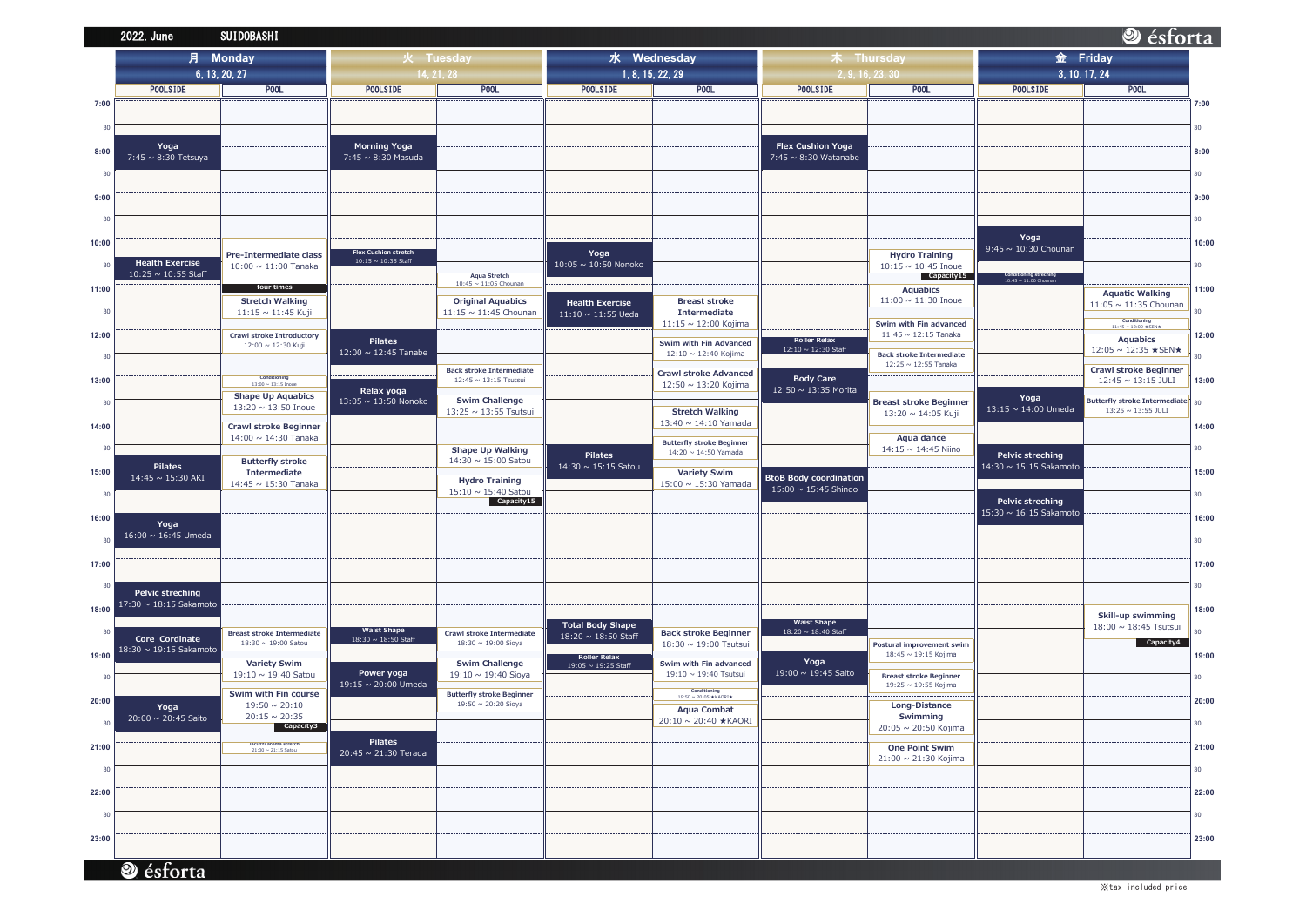|       | 2022. June                               | <b>SUIDOBASHI</b>                                        |                                                    |                                                         |                                            |                                                      |                                           |                                        |  |
|-------|------------------------------------------|----------------------------------------------------------|----------------------------------------------------|---------------------------------------------------------|--------------------------------------------|------------------------------------------------------|-------------------------------------------|----------------------------------------|--|
|       | <b>Monday</b><br>月                       |                                                          | 火 Tuesday                                          |                                                         | 水 Wednesday                                |                                                      | 木 Thursday                                |                                        |  |
|       | 6, 13, 20, 27                            |                                                          |                                                    | 14, 21, 28                                              | 1, 8, 15, 22, 29                           |                                                      | 2, 9, 16, 23, 30                          |                                        |  |
|       | <b>POOLSIDE</b>                          | POOL                                                     | <b>POOLSIDE</b>                                    | P <sub>00</sub> L                                       | <b>POOLSIDE</b>                            | POOL                                                 | <b>POOLSIDE</b>                           | POOL                                   |  |
| 7:00  |                                          |                                                          |                                                    |                                                         |                                            |                                                      |                                           |                                        |  |
| 30    |                                          |                                                          |                                                    |                                                         |                                            |                                                      |                                           |                                        |  |
|       | Yoga                                     |                                                          | <b>Morning Yoga</b>                                |                                                         |                                            |                                                      | <b>Flex Cushion Yoga</b>                  |                                        |  |
| 8:00  | 7:45 ~ 8:30 Tetsuya                      |                                                          | 7:45 ~ 8:30 Masuda                                 |                                                         |                                            |                                                      | 7:45 $\sim$ 8:30 Watanabe                 |                                        |  |
| 30    |                                          |                                                          |                                                    |                                                         |                                            |                                                      |                                           |                                        |  |
| 9:00  |                                          |                                                          |                                                    |                                                         |                                            |                                                      |                                           |                                        |  |
|       |                                          |                                                          |                                                    |                                                         |                                            |                                                      |                                           |                                        |  |
| 30    |                                          |                                                          |                                                    |                                                         |                                            |                                                      |                                           |                                        |  |
| 10:00 |                                          |                                                          |                                                    |                                                         |                                            |                                                      |                                           |                                        |  |
|       | <b>Health Exercise</b>                   | Pre-Intermediate class                                   | <b>Flex Cushion stretch</b><br>10:15 ~ 10:35 Staff |                                                         | Yoga                                       |                                                      |                                           | <b>Hydro Training</b>                  |  |
| 30    | $10:25 \sim 10:55$ Staff                 | $10:00 \sim 11:00$ Tanaka                                |                                                    | <b>Aqua Stretch</b>                                     | 10:05 ~ 10:50 Nonoko                       |                                                      |                                           | $10:15 \sim 10:45$ Inoue<br>Capacity15 |  |
| 11:00 |                                          | four times                                               |                                                    | 10:45 ~ 11:05 Chounan                                   |                                            |                                                      |                                           | <b>Aquabics</b>                        |  |
| 30    |                                          | <b>Stretch Walking</b>                                   |                                                    | <b>Original Aquabics</b><br>11:15 $\sim$ 11:45 Chounan  | <b>Health Exercise</b>                     | <b>Breast stroke</b><br><b>Intermediate</b>          |                                           | $11:00 \sim 11:30$ Inoue               |  |
|       |                                          | 11:15 ~ 11:45 Kuji                                       |                                                    |                                                         | $11:10 \sim 11:55$ Ueda                    | 11:15 ~ 12:00 Kojima                                 |                                           | Swim with Fin advanced                 |  |
| 12:00 |                                          | <b>Crawl stroke Introductory</b><br>12:00 ~ 12:30 Kuji   | <b>Pilates</b>                                     |                                                         |                                            | Swim with Fin Advanced                               | <b>Roller Relax</b>                       | $11:45 \sim 12:15$ Tanaka              |  |
| 30    |                                          |                                                          | 12:00 ~ 12:45 Tanabe                               |                                                         |                                            | 12:10 ~ 12:40 Kojima                                 | 12:10 ~ 12:30 Staff                       | <b>Back stroke Intermediate</b>        |  |
|       |                                          | Conditioning                                             |                                                    | <b>Back stroke Intermediate</b>                         |                                            | <b>Crawl stroke Advanced</b>                         | <b>Body Care</b>                          | 12:25 ~ 12:55 Tanaka                   |  |
| 13:00 |                                          | $13:00 \sim 13:15$ Inoue                                 | Relax yoga                                         | 12:45 ~ 13:15 Tsutsui                                   |                                            | 12:50 ~ 13:20 Kojima                                 | 12:50 ~ 13:35 Morita                      |                                        |  |
| 30    |                                          | <b>Shape Up Aquabics</b><br>13:20 $\sim$ 13:50 Inoue     | 13:05 ~ 13:50 Nonoko                               | <b>Swim Challenge</b><br>13:25 ~ 13:55 Tsutsui          |                                            | <b>Stretch Walking</b>                               |                                           | <b>Breast stroke Beginner</b>          |  |
| 14:00 |                                          | <b>Crawl stroke Beginner</b>                             |                                                    |                                                         |                                            | 13:40 $\sim$ 14:10 Yamada                            |                                           | 13:20 ~ 14:05 Kuji                     |  |
|       |                                          | 14:00 ~ 14:30 Tanaka                                     |                                                    |                                                         |                                            | <b>Butterfly stroke Beginner</b>                     |                                           | Aqua dance                             |  |
| 30    |                                          | <b>Butterfly stroke</b>                                  |                                                    | <b>Shape Up Walking</b><br>14:30 ~ 15:00 Satou          | <b>Pilates</b>                             | 14:20 ~ 14:50 Yamada                                 |                                           | 14:15 ~ 14:45 Niino                    |  |
| 15:00 | <b>Pilates</b><br>$14:45 \sim 15:30$ AKI | <b>Intermediate</b>                                      |                                                    |                                                         | 14:30 ~ 15:15 Satou                        | <b>Variety Swim</b>                                  | <b>BtoB Body coordination</b>             |                                        |  |
| 30    |                                          | 14:45 ~ 15:30 Tanaka                                     |                                                    | <b>Hydro Training</b><br>$15:10 \sim 15:40$ Satou       |                                            | 15:00 ~ 15:30 Yamada                                 | 15:00 ~ 15:45 Shindo                      |                                        |  |
|       |                                          |                                                          |                                                    | Capacity15                                              |                                            |                                                      |                                           |                                        |  |
| 16:00 | Yoga                                     |                                                          |                                                    |                                                         |                                            |                                                      |                                           |                                        |  |
| 30    | 16:00 ~ 16:45 Umeda                      |                                                          |                                                    |                                                         |                                            |                                                      |                                           |                                        |  |
| 17:00 |                                          |                                                          |                                                    |                                                         |                                            |                                                      |                                           |                                        |  |
|       |                                          |                                                          |                                                    |                                                         |                                            |                                                      |                                           |                                        |  |
| 30    | <b>Pelvic streching</b>                  |                                                          |                                                    |                                                         |                                            |                                                      |                                           |                                        |  |
| 18:00 | 17:30 ~ 18:15 Sakamoto                   |                                                          |                                                    |                                                         |                                            |                                                      |                                           |                                        |  |
| 30    |                                          |                                                          | <b>Waist Shape</b>                                 |                                                         | <b>Total Body Shape</b>                    |                                                      | <b>Waist Shape</b><br>18:20 ~ 18:40 Staff |                                        |  |
|       | Core Cordinate                           | <b>Breast stroke Intermediate</b><br>18:30 ~ 19:00 Satou | 18:30 ~ 18:50 Staff                                | <b>Crawl stroke Intermediate</b><br>18:30 ~ 19:00 Sioya | 18:20 ~ 18:50 Staff                        | <b>Back stroke Beginner</b><br>18:30 ~ 19:00 Tsutsui |                                           | Postural improvement swim              |  |
| 19:00 | 18:30 ~ 19:15 Sakamoto                   | <b>Variety Swim</b>                                      |                                                    | <b>Swim Challenge</b>                                   | <b>Roller Relax</b><br>19:05 ~ 19:25 Staff | Swim with Fin advanced                               | Yoga                                      | 18:45 ~ 19:15 Kojima                   |  |
| 30    |                                          | 19:10 ~ 19:40 Satou                                      | Power yoga                                         | 19:10 $\sim$ 19:40 Sioya                                |                                            | 19:10 ~ 19:40 Tsutsui                                | 19:00 ~ 19:45 Saito                       | <b>Breast stroke Beginner</b>          |  |
|       |                                          | Swim with Fin course                                     | 19:15 ~ 20:00 Umeda                                | <b>Butterfly stroke Beginner</b>                        |                                            | Conditioning<br>19:50 ~ 20:05 * KAORI *              |                                           | 19:25 ~ 19:55 Kojima                   |  |
| 20:00 | Yoga                                     | $19:50 \sim 20:10$                                       |                                                    | 19:50 ~ 20:20 Sioya                                     |                                            | <b>Aqua Combat</b>                                   |                                           | <b>Long-Distance</b>                   |  |
| 30    | 20:00 ~ 20:45 Saito                      | $20:15 \sim 20:35$<br>Capacity3                          |                                                    |                                                         |                                            | 20:10 ~ 20:40 ★KAORI                                 |                                           | Swimming<br>20:05 ~ 20:50 Kojima       |  |
| 21:00 |                                          | Jacuzzi aroma stretch                                    | <b>Pilates</b>                                     |                                                         |                                            |                                                      |                                           | <b>One Point Swim</b>                  |  |
|       |                                          | $21:00 \sim 21:15$ Satou                                 | 20:45 ~ 21:30 Terada                               |                                                         |                                            |                                                      |                                           | 21:00 ~ 21:30 Kojima                   |  |
| 30    |                                          |                                                          |                                                    |                                                         |                                            |                                                      |                                           |                                        |  |
| 22:00 |                                          |                                                          |                                                    |                                                         |                                            |                                                      |                                           |                                        |  |
| 30    |                                          |                                                          |                                                    |                                                         |                                            |                                                      |                                           |                                        |  |
|       |                                          |                                                          |                                                    |                                                         |                                            |                                                      |                                           |                                        |  |
| 23:00 |                                          |                                                          |                                                    |                                                         |                                            |                                                      |                                           |                                        |  |
|       |                                          |                                                          |                                                    |                                                         |                                            |                                                      |                                           |                                        |  |
|       | ésforta                                  |                                                          |                                                    |                                                         |                                            |                                                      |                                           |                                        |  |

## Sesforta 金 Friday 3, 10, 17, 24 **POOLSIDE POOL**  $7:00$  $30<sup>°</sup>$  $8:00$  $30<sup>°</sup>$  $9:00$  $30$ Yoga  $10:00$ 9:45 ~  $10:30$  Chounan  $30<sub>o</sub>$ Conditioning streching<br>10:45 ~ 11:00 Chounan  $11:00$ **Aquatic Walking**  $11:05 \sim 11:35$  Chounan  $30$ Conditioning<br>11:45 ~ 12:00  $\star$  SEN $\star$  $12:00$ Aquabics 12:05 ~ 12:35  $\star$  SEN  $\star$  $30<sup>°</sup>$ **Crawl stroke Beginner**  $12:45 \sim 13:15 \; \text{JULI}$ 13:00 Yoga Butterfly stroke Intermediate  $30$ <br>13:25 ~ 13:55 JULI  $13:15 \sim 14:00$  Umeda  $14:00$  $30<sup>°</sup>$ Pelvic streching 14:30 ~ 15:15 Sakamoto 15:00  $30\,$ Pelvic streching  $15:30 \sim 16:15$  Sakamoto  $16:00$  $30<sup>°</sup>$ 17:00  $30<sup>°</sup>$  $18:00$ **Skill-up swimming**<br> $18:00 \sim 18:45$  Tsutsui  $30<sup>°</sup>$  $\overline{\phantom{a}}$  Capacity4  $19:00$  $30<sup>°</sup>$  $20:00$  $30$ 21:00  $30<sup>°</sup>$ 22:00  $30<sub>o</sub>$ 23:00